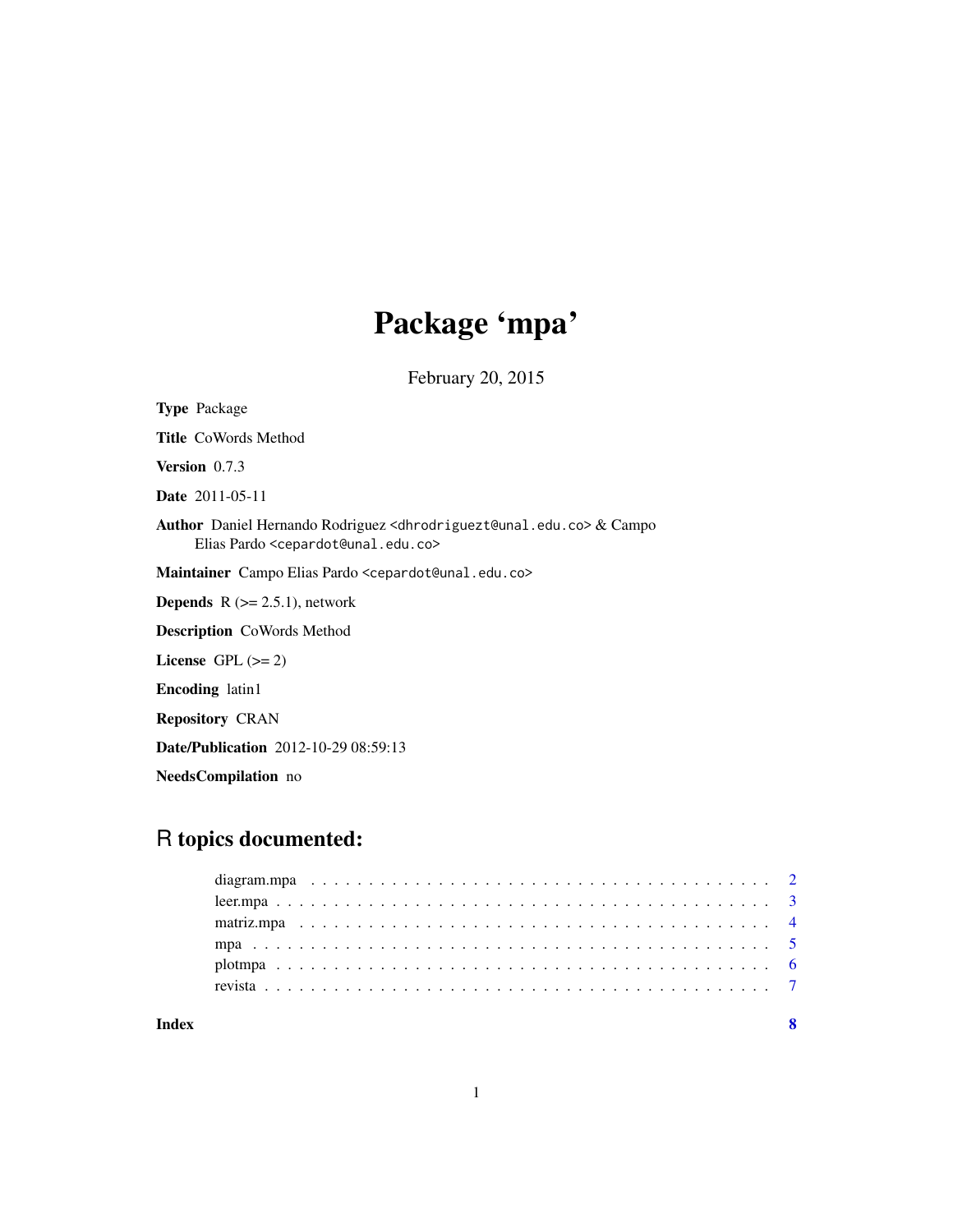## Package 'mpa'

February 20, 2015

Type Package Title CoWords Method Version 0.7.3 Date 2011-05-11 Author Daniel Hernando Rodriguez <dhrodriguezt@unal.edu.co> & Campo Elias Pardo <cepardot@unal.edu.co> Maintainer Campo Elias Pardo <cepardot@unal.edu.co> **Depends**  $R$  ( $>= 2.5.1$ ), network Description CoWords Method License GPL  $(>= 2)$ Encoding latin1 Repository CRAN Date/Publication 2012-10-29 08:59:13

## R topics documented:

NeedsCompilation no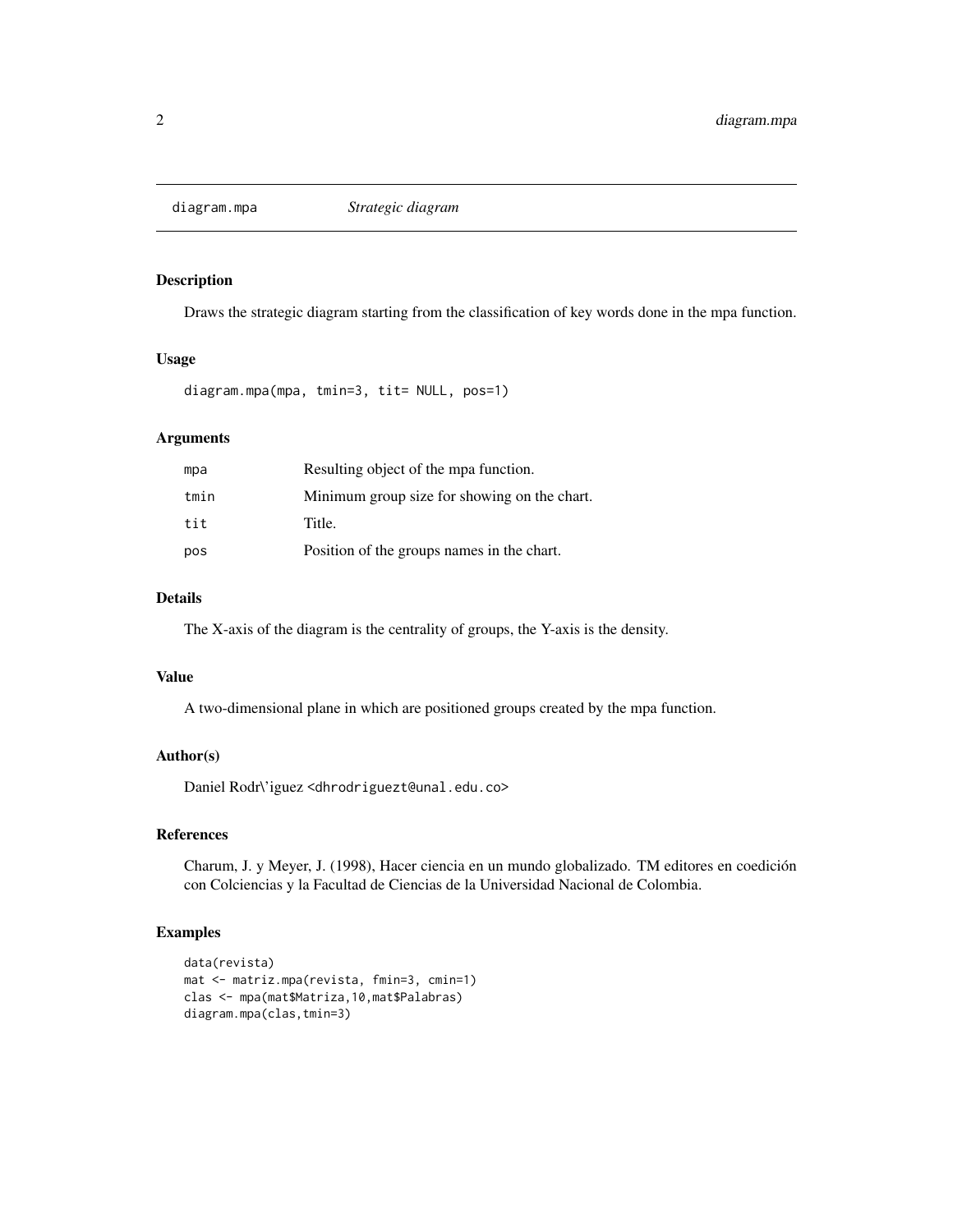<span id="page-1-0"></span>

## Description

Draws the strategic diagram starting from the classification of key words done in the mpa function.

#### Usage

diagram.mpa(mpa, tmin=3, tit= NULL, pos=1)

## Arguments

| mpa  | Resulting object of the mpa function.        |
|------|----------------------------------------------|
| tmin | Minimum group size for showing on the chart. |
| tit  | Title.                                       |
| pos  | Position of the groups names in the chart.   |

## Details

The X-axis of the diagram is the centrality of groups, the Y-axis is the density.

#### Value

A two-dimensional plane in which are positioned groups created by the mpa function.

## Author(s)

Daniel Rodr\'iguez <dhrodriguezt@unal.edu.co>

## References

Charum, J. y Meyer, J. (1998), Hacer ciencia en un mundo globalizado. TM editores en coedición con Colciencias y la Facultad de Ciencias de la Universidad Nacional de Colombia.

## Examples

```
data(revista)
mat <- matriz.mpa(revista, fmin=3, cmin=1)
clas <- mpa(mat$Matriza,10,mat$Palabras)
diagram.mpa(clas,tmin=3)
```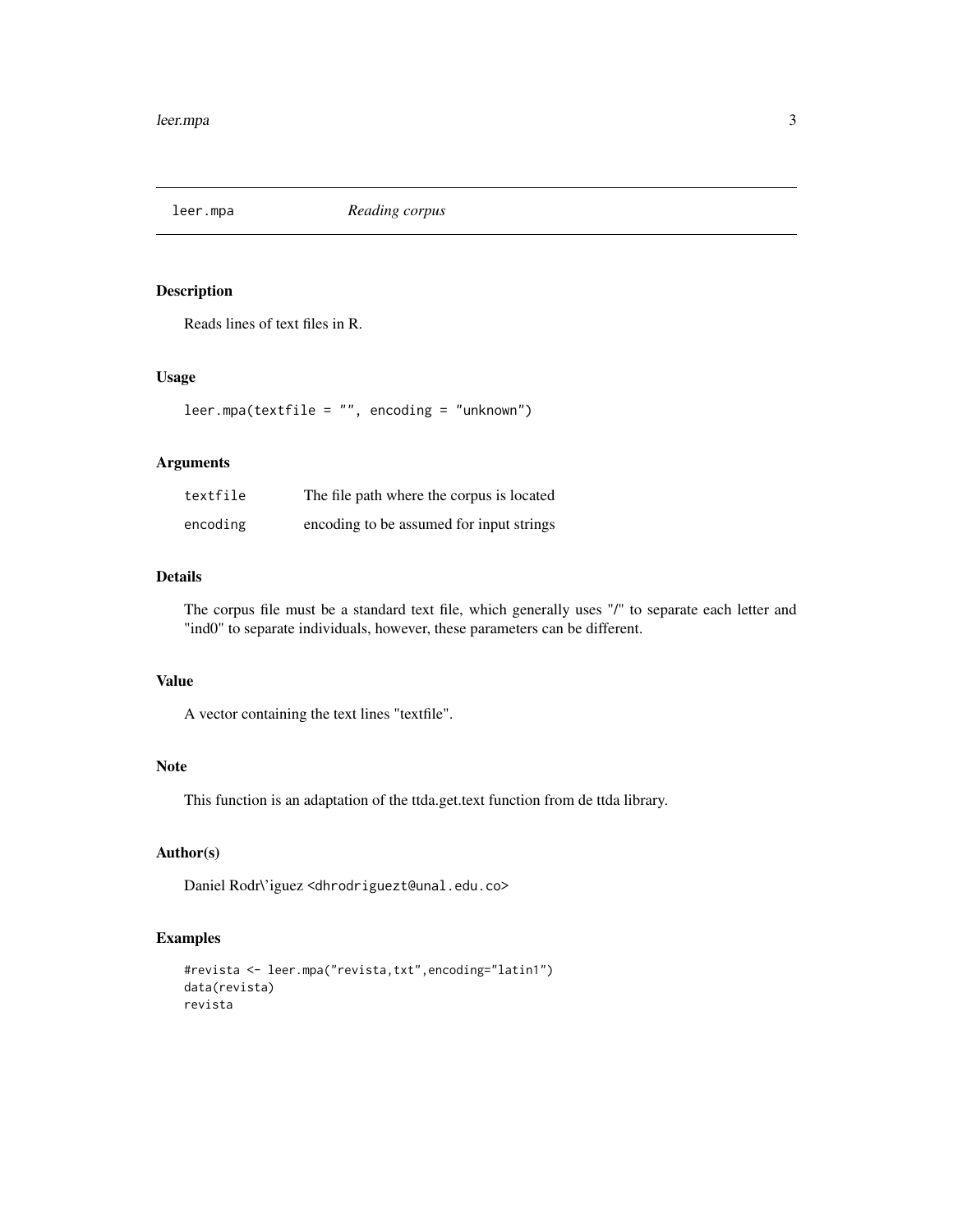<span id="page-2-0"></span>

#### Description

Reads lines of text files in R.

## Usage

leer.mpa(textfile = "", encoding = "unknown")

## Arguments

| textfile | The file path where the corpus is located |
|----------|-------------------------------------------|
| encoding | encoding to be assumed for input strings  |

## Details

The corpus file must be a standard text file, which generally uses "/" to separate each letter and "ind0" to separate individuals, however, these parameters can be different.

#### Value

A vector containing the text lines "textfile".

## Note

This function is an adaptation of the ttda.get.text function from de ttda library.

## Author(s)

Daniel Rodr\'iguez <dhrodriguezt@unal.edu.co>

## Examples

```
#revista <- leer.mpa("revista,txt",encoding="latin1")
data(revista)
revista
```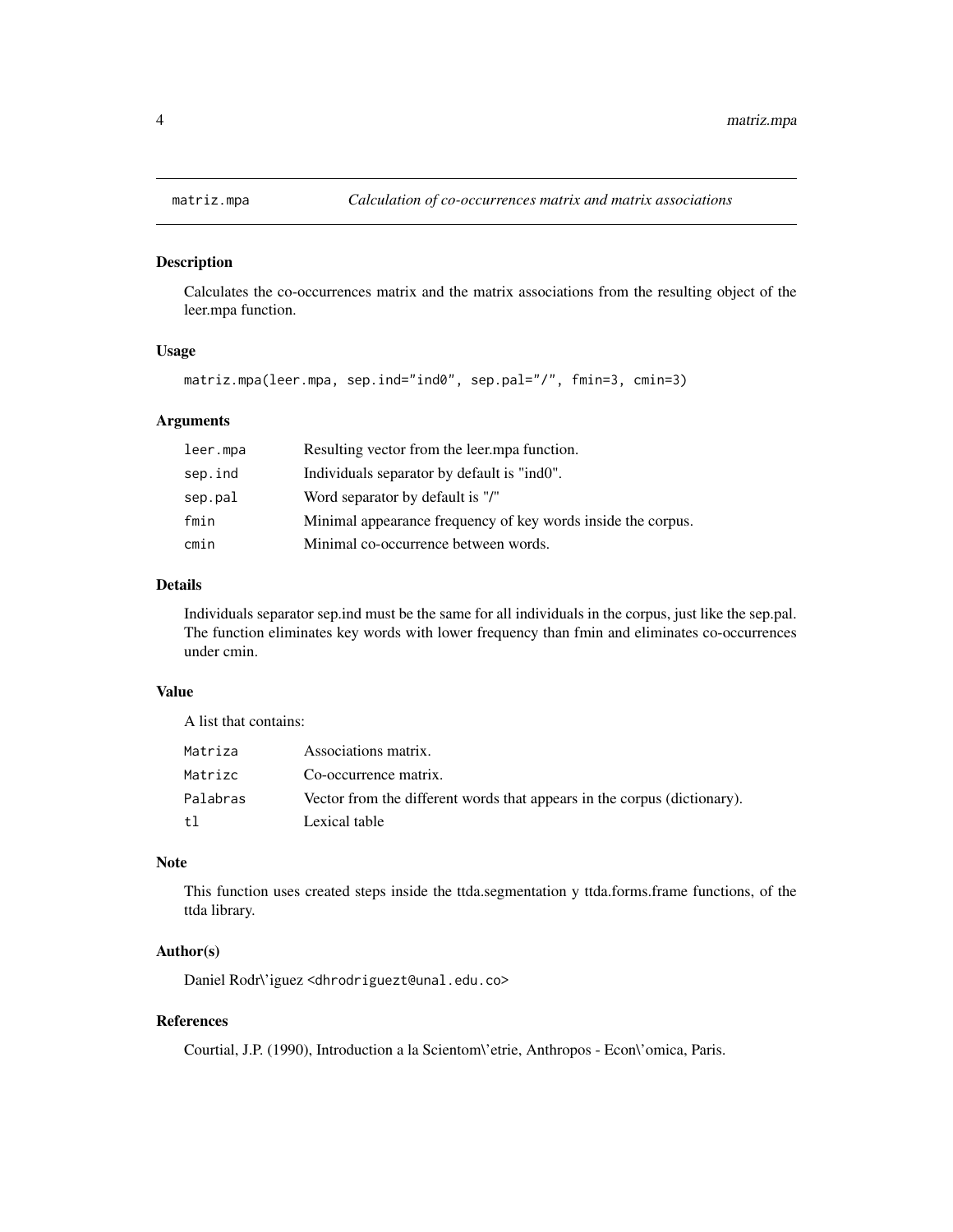<span id="page-3-0"></span>

#### Description

Calculates the co-occurrences matrix and the matrix associations from the resulting object of the leer.mpa function.

## Usage

```
matriz.mpa(leer.mpa, sep.ind="ind0", sep.pal="/", fmin=3, cmin=3)
```
## Arguments

| leer.mpa | Resulting vector from the leer.mpa function.                 |
|----------|--------------------------------------------------------------|
| sep.ind  | Individuals separator by default is "ind0".                  |
| sep.pal  | Word separator by default is "/"                             |
| fmin     | Minimal appearance frequency of key words inside the corpus. |
| cmin     | Minimal co-occurrence between words.                         |

#### Details

Individuals separator sep.ind must be the same for all individuals in the corpus, just like the sep.pal. The function eliminates key words with lower frequency than fmin and eliminates co-occurrences under cmin.

#### Value

A list that contains:

| Matriza  | Associations matrix.                                                     |
|----------|--------------------------------------------------------------------------|
| Matrizc  | Co-occurrence matrix.                                                    |
| Palabras | Vector from the different words that appears in the corpus (dictionary). |
| t1       | Lexical table                                                            |

## Note

This function uses created steps inside the ttda.segmentation y ttda.forms.frame functions, of the ttda library.

## Author(s)

Daniel Rodr\'iguez <dhrodriguezt@unal.edu.co>

## References

Courtial, J.P. (1990), Introduction a la Scientom\'etrie, Anthropos - Econ\'omica, Paris.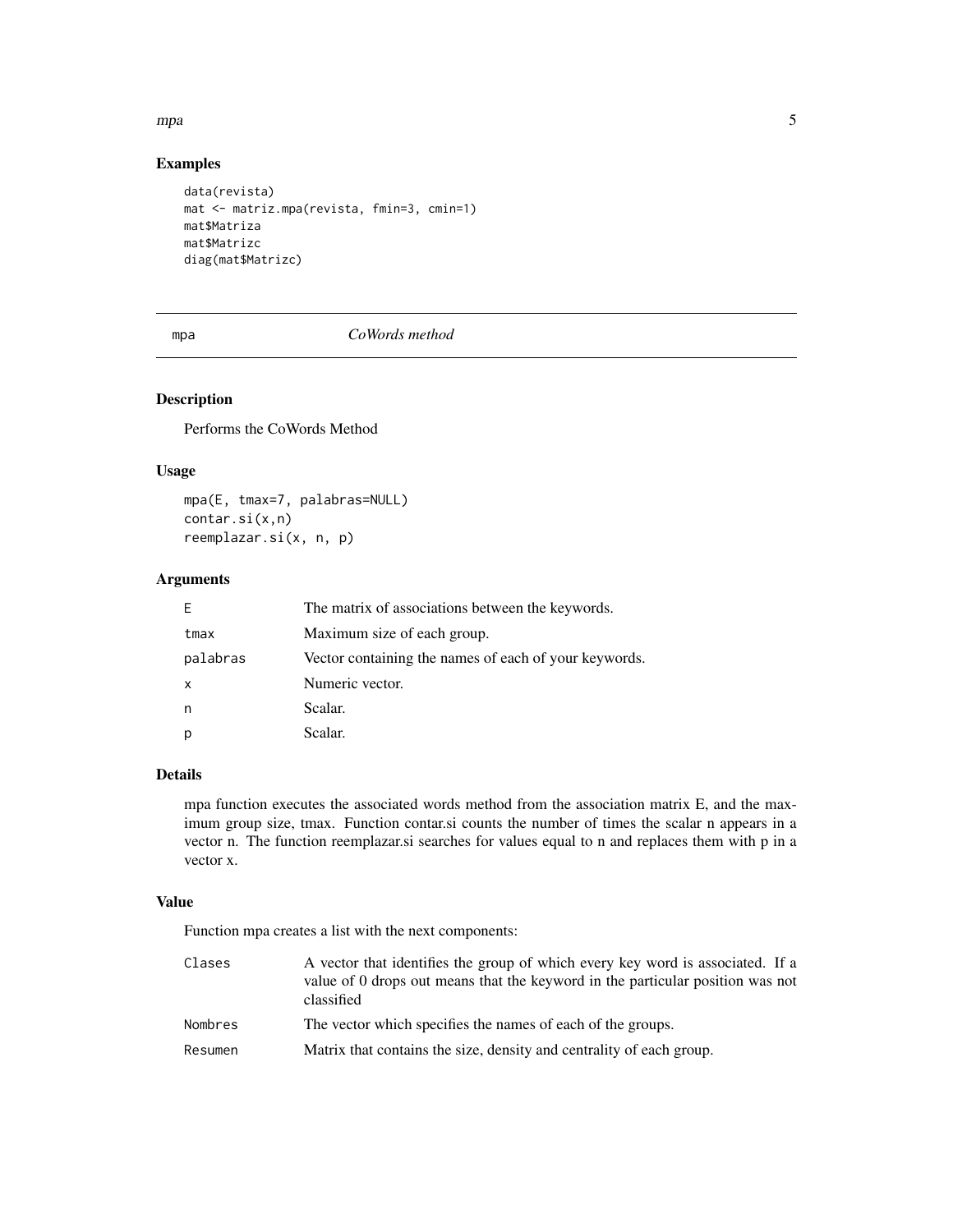#### <span id="page-4-0"></span>mpa 55 to 55 to 55 to 55 to 55 to 55 to 55 to 55 to 55 to 55 to 55 to 55 to 55 to 55 to 55 to 55 to 55 to 55 to 55 to 55 to 55 to 55 to 55 to 55 to 55 to 55 to 55 to 55 to 55 to 55 to 55 to 55 to 55 to 55 to 55 to 55 to 55

## Examples

```
data(revista)
mat <- matriz.mpa(revista, fmin=3, cmin=1)
mat$Matriza
mat$Matrizc
diag(mat$Matrizc)
```
## mpa *CoWords method*

## Description

Performs the CoWords Method

## Usage

mpa(E, tmax=7, palabras=NULL) contar.si(x,n) reemplazar.si(x, n, p)

## Arguments

| F        | The matrix of associations between the keywords.      |
|----------|-------------------------------------------------------|
| tmax     | Maximum size of each group.                           |
| palabras | Vector containing the names of each of your keywords. |
| $\times$ | Numeric vector.                                       |
| n        | Scalar.                                               |
|          | Scalar.                                               |

#### Details

mpa function executes the associated words method from the association matrix E, and the maximum group size, tmax. Function contar.si counts the number of times the scalar n appears in a vector n. The function reemplazar.si searches for values equal to n and replaces them with p in a vector x.

## Value

Function mpa creates a list with the next components:

| Clases  | A vector that identifies the group of which every key word is associated. If a<br>value of 0 drops out means that the keyword in the particular position was not<br>classified |
|---------|--------------------------------------------------------------------------------------------------------------------------------------------------------------------------------|
| Nombres | The vector which specifies the names of each of the groups.                                                                                                                    |
| Resumen | Matrix that contains the size, density and centrality of each group.                                                                                                           |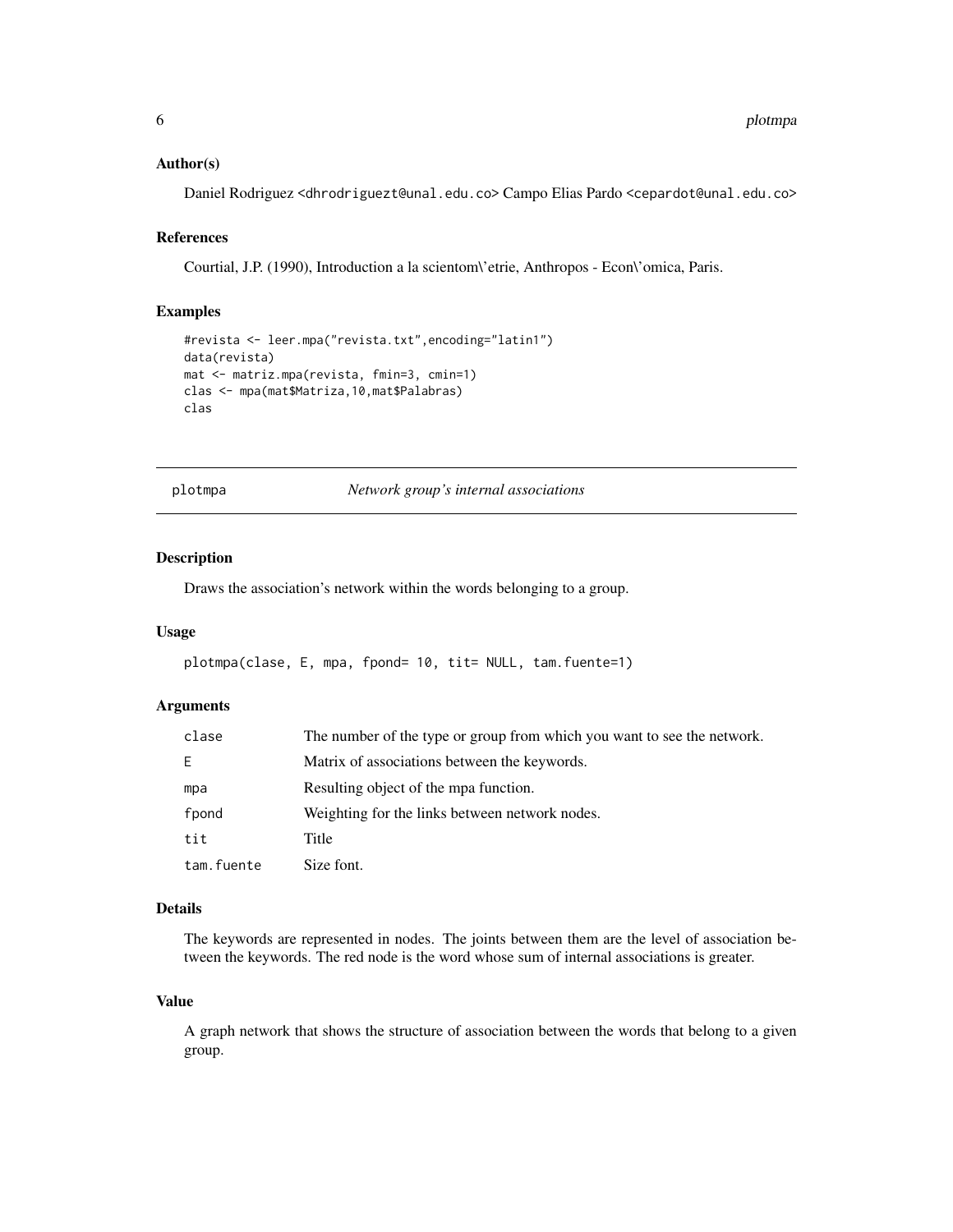#### <span id="page-5-0"></span>Author(s)

Daniel Rodriguez <dhrodriguezt@unal.edu.co> Campo Elias Pardo <cepardot@unal.edu.co>

#### References

Courtial, J.P. (1990), Introduction a la scientom\'etrie, Anthropos - Econ\'omica, Paris.

#### Examples

```
#revista <- leer.mpa("revista.txt",encoding="latin1")
data(revista)
mat <- matriz.mpa(revista, fmin=3, cmin=1)
clas <- mpa(mat$Matriza,10,mat$Palabras)
clas
```
plotmpa *Network group's internal associations*

#### Description

Draws the association's network within the words belonging to a group.

#### Usage

```
plotmpa(clase, E, mpa, fpond= 10, tit= NULL, tam.fuente=1)
```
#### Arguments

| clase      | The number of the type or group from which you want to see the network. |
|------------|-------------------------------------------------------------------------|
| E.         | Matrix of associations between the keywords.                            |
| mpa        | Resulting object of the mpa function.                                   |
| fpond      | Weighting for the links between network nodes.                          |
| tit.       | Title                                                                   |
| tam.fuente | Size font.                                                              |

#### Details

The keywords are represented in nodes. The joints between them are the level of association between the keywords. The red node is the word whose sum of internal associations is greater.

#### Value

A graph network that shows the structure of association between the words that belong to a given group.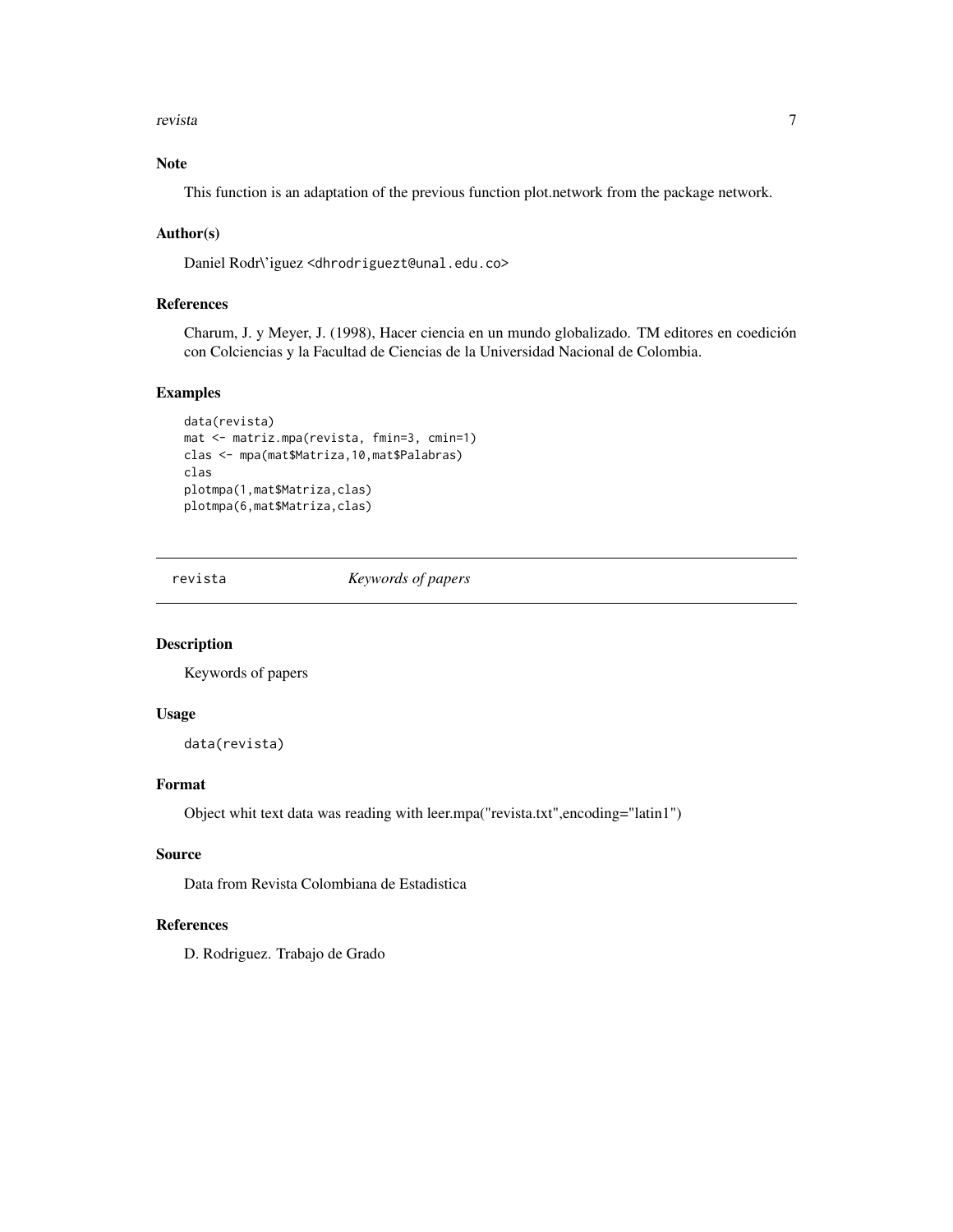<span id="page-6-0"></span>revista  $\overline{7}$ 

## Note

This function is an adaptation of the previous function plot.network from the package network.

#### Author(s)

Daniel Rodr\'iguez <dhrodriguezt@unal.edu.co>

#### References

Charum, J. y Meyer, J. (1998), Hacer ciencia en un mundo globalizado. TM editores en coedición con Colciencias y la Facultad de Ciencias de la Universidad Nacional de Colombia.

## Examples

```
data(revista)
mat <- matriz.mpa(revista, fmin=3, cmin=1)
clas <- mpa(mat$Matriza,10,mat$Palabras)
clas
plotmpa(1,mat$Matriza,clas)
plotmpa(6,mat$Matriza,clas)
```
revista *Keywords of papers*

#### Description

Keywords of papers

#### Usage

data(revista)

#### Format

Object whit text data was reading with leer.mpa("revista.txt",encoding="latin1")

#### Source

Data from Revista Colombiana de Estadistica

## References

D. Rodriguez. Trabajo de Grado